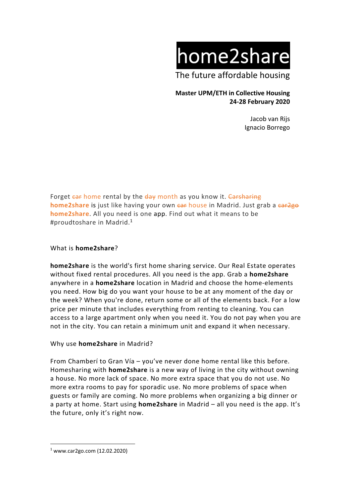home2share

The future affordable housing

## **Master UPM/ETH in Collective Housing 24-28 February 2020**

Jacob van Rijs Ignacio Borrego

Forget car home rental by the day month as you know it. Carsharing **home2share** is just like having your own ear house in Madrid. Just grab a ear2go **home2share**. All you need is one app. Find out what it means to be #proudtoshare in Madrid. 1

### What is **home2share**?

**home2share** is the world's first home sharing service. Our Real Estate operates without fixed rental procedures. All you need is the app. Grab a **home2share** anywhere in a **home2share** location in Madrid and choose the home-elements you need. How big do you want your house to be at any moment of the day or the week? When you're done, return some or all of the elements back. For a low price per minute that includes everything from renting to cleaning. You can access to a large apartment only when you need it. You do not pay when you are not in the city. You can retain a minimum unit and expand it when necessary.

#### Why use **home2share** in Madrid?

From Chamberí to Gran Vía – you've never done home rental like this before. Homesharing with **home2share** is a new way of living in the city without owning a house. No more lack of space. No more extra space that you do not use. No more extra rooms to pay for sporadic use. No more problems of space when guests or family are coming. No more problems when organizing a big dinner or a party at home. Start using **home2share** in Madrid – all you need is the app. It's the future, only it's right now.

 $1$  www.car2go.com (12.02.2020)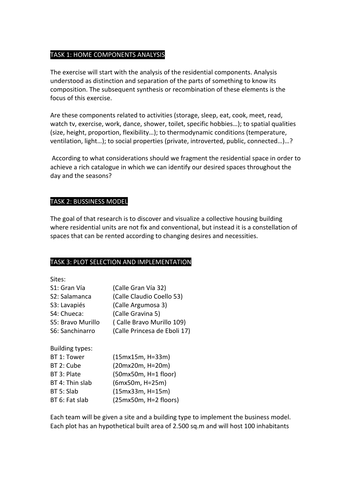### TASK 1: HOME COMPONENTS ANALYSIS

The exercise will start with the analysis of the residential components. Analysis understood as distinction and separation of the parts of something to know its composition. The subsequent synthesis or recombination of these elements is the focus of this exercise.

Are these components related to activities (storage, sleep, eat, cook, meet, read, watch tv, exercise, work, dance, shower, toilet, specific hobbies…); to spatial qualities (size, height, proportion, flexibility…); to thermodynamic conditions (temperature, ventilation, light…); to social properties (private, introverted, public, connected…)…?

According to what considerations should we fragment the residential space in order to achieve a rich catalogue in which we can identify our desired spaces throughout the day and the seasons?

#### TASK 2: BUSSINESS MODEL

The goal of that research is to discover and visualize a collective housing building where residential units are not fix and conventional, but instead it is a constellation of spaces that can be rented according to changing desires and necessities.

## TASK 3: PLOT SELECTION AND IMPLEMENTATION

Sites:

| S1: Gran Vía      | (Calle Gran Vía 32)          |
|-------------------|------------------------------|
| S2: Salamanca     | (Calle Claudio Coello 53)    |
| S3: Lavapiés      | (Calle Argumosa 3)           |
| S4: Chueca:       | (Calle Gravina 5)            |
| S5: Bravo Murillo | (Calle Bravo Murillo 109)    |
| S6: Sanchinarro   | (Calle Princesa de Eboli 17) |
|                   |                              |

Building types:

| BT 1: Tower     | $(15mx15m, H=33m)$    |
|-----------------|-----------------------|
| BT 2: Cube      | (20mx20m, H=20m)      |
| BT 3: Plate     | (50mx50m, H=1 floor)  |
| BT 4: Thin slab | (6mx50m, H=25m)       |
| BT 5: Slab      | $(15mx33m, H=15m)$    |
| BT 6: Fat slab  | (25mx50m, H=2 floors) |

Each team will be given a site and a building type to implement the business model. Each plot has an hypothetical built area of 2.500 sq.m and will host 100 inhabitants